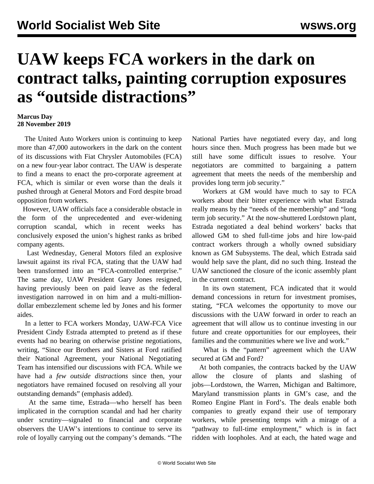## **UAW keeps FCA workers in the dark on contract talks, painting corruption exposures as "outside distractions"**

## **Marcus Day 28 November 2019**

 The United Auto Workers union is continuing to keep more than 47,000 autoworkers in the dark on the content of its discussions with Fiat Chrysler Automobiles (FCA) on a new four-year labor contract. The UAW is desperate to find a means to enact the pro-corporate agreement at FCA, which is similar or even worse than the deals it pushed through at General Motors and Ford despite broad opposition from workers.

 However, UAW officials face a considerable obstacle in the form of the unprecedented and ever-widening corruption scandal, which in recent weeks has conclusively exposed the union's highest ranks as bribed company agents.

 Last Wednesday, General Motors filed an explosive lawsuit against its rival FCA, stating that the UAW had been transformed into an "FCA-controlled enterprise." The same day, UAW President Gary Jones resigned, having previously been on paid leave as the federal investigation narrowed in on him and a multi-milliondollar embezzlement scheme led by Jones and his former aides.

 In a letter to FCA workers Monday, UAW-FCA Vice President Cindy Estrada attempted to pretend as if these events had no bearing on otherwise pristine negotiations, writing, "Since our Brothers and Sisters at Ford ratified their National Agreement, your National Negotiating Team has intensified our discussions with FCA. While we have had a *few outside distractions* since then, your negotiators have remained focused on resolving all your outstanding demands" (emphasis added).

 At the same time, Estrada—who herself has been implicated in the corruption scandal and had her charity under scrutiny—signaled to financial and corporate observers the UAW's intentions to continue to serve its role of loyally carrying out the company's demands. "The

National Parties have negotiated every day, and long hours since then. Much progress has been made but we still have some difficult issues to resolve. Your negotiators are committed to bargaining a pattern agreement that meets the needs of the membership and provides long term job security."

 Workers at GM would have much to say to FCA workers about their bitter experience with what Estrada really means by the "needs of the membership" and "long term job security." At the now-shuttered Lordstown plant, Estrada negotiated a deal behind workers' backs that allowed GM to shed full-time jobs and hire low-paid contract workers through a wholly owned subsidiary known as GM Subsystems. The deal, which Estrada said would help save the plant, did no such thing. Instead the UAW sanctioned the closure of the iconic assembly plant in the current contract.

 In its own statement, FCA indicated that it would demand concessions in return for investment promises, stating, "FCA welcomes the opportunity to move our discussions with the UAW forward in order to reach an agreement that will allow us to continue investing in our future and create opportunities for our employees, their families and the communities where we live and work."

 What is the "pattern" agreement which the UAW secured at GM and Ford?

 At both companies, the contracts backed by the UAW allow the closure of plants and slashing of jobs—Lordstown, the Warren, Michigan and Baltimore, Maryland transmission plants in GM's case, and the Romeo Engine Plant in Ford's. The deals enable both companies to greatly expand their use of temporary workers, while presenting temps with a mirage of a "pathway to full-time employment," which is in fact ridden with loopholes. And at each, the hated wage and